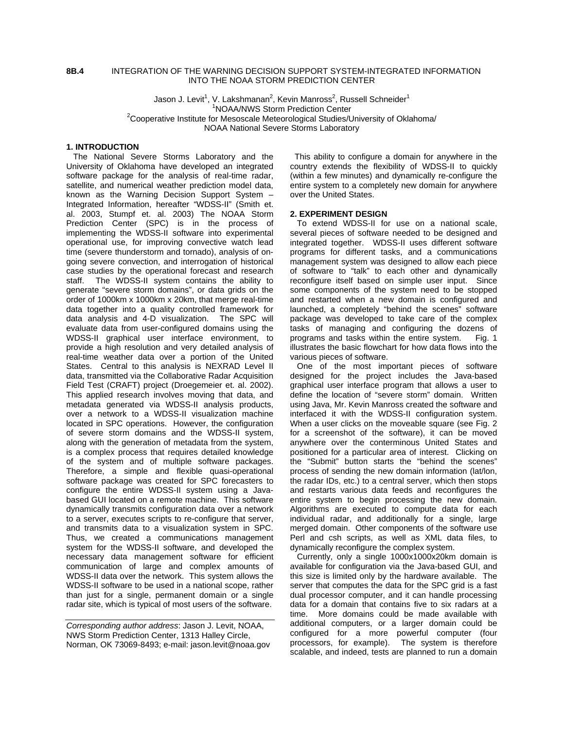#### **8B.4** INTEGRATION OF THE WARNING DECISION SUPPORT SYSTEM-INTEGRATED INFORMATION INTO THE NOAA STORM PREDICTION CENTER

Jason J. Levit<sup>1</sup>, V. Lakshmanan<sup>2</sup>, Kevin Manross<sup>2</sup>, Russell Schneider<sup>1</sup> <sup>1</sup>NOAA/NWS Storm Prediction Center  $^2$ Cooperative Institute for Mesoscale Meteorological Studies/University of Oklahoma/<br>2Cooperative Institute for Mesoscale Meteorological Studies/University of Oklahoma/ NOAA National Severe Storms Laboratory

### **1. INTRODUCTION**

The National Severe Storms Laboratory and the University of Oklahoma have developed an integrated software package for the analysis of real-time radar, satellite, and numerical weather prediction model data, known as the Warning Decision Support System – Integrated Information, hereafter "WDSS-II" (Smith et. al. 2003, Stumpf et. al. 2003) The NOAA Storm Prediction Center (SPC) is in the process of implementing the WDSS-II software into experimental operational use, for improving convective watch lead time (severe thunderstorm and tornado), analysis of ongoing severe convection, and interrogation of historical case studies by the operational forecast and research staff. The WDSS-II system contains the ability to generate "severe storm domains", or data grids on the order of 1000km x 1000km x 20km, that merge real-time data together into a quality controlled framework for data analysis and 4-D visualization. The SPC will evaluate data from user-configured domains using the WDSS-II graphical user interface environment, to provide a high resolution and very detailed analysis of real-time weather data over a portion of the United States. Central to this analysis is NEXRAD Level II data, transmitted via the Collaborative Radar Acquisition Field Test (CRAFT) project (Droegemeier et. al. 2002). This applied research involves moving that data, and metadata generated via WDSS-II analysis products, over a network to a WDSS-II visualization machine located in SPC operations. However, the configuration of severe storm domains and the WDSS-II system, along with the generation of metadata from the system, is a complex process that requires detailed knowledge of the system and of multiple software packages. Therefore, a simple and flexible quasi-operational software package was created for SPC forecasters to configure the entire WDSS-II system using a Javabased GUI located on a remote machine. This software dynamically transmits configuration data over a network to a server, executes scripts to re-configure that server, and transmits data to a visualization system in SPC. Thus, we created a communications management system for the WDSS-II software, and developed the necessary data management software for efficient communication of large and complex amounts of WDSS-II data over the network. This system allows the WDSS-II software to be used in a national scope, rather than just for a single, permanent domain or a single radar site, which is typical of most users of the software.

This ability to configure a domain for anywhere in the country extends the flexibility of WDSS-II to quickly (within a few minutes) and dynamically re-configure the entire system to a completely new domain for anywhere over the United States.

#### **2. EXPERIMENT DESIGN**

To extend WDSS-II for use on a national scale, several pieces of software needed to be designed and integrated together. WDSS-II uses different software programs for different tasks, and a communications management system was designed to allow each piece of software to "talk" to each other and dynamically reconfigure itself based on simple user input. Since some components of the system need to be stopped and restarted when a new domain is configured and launched, a completely "behind the scenes" software package was developed to take care of the complex tasks of managing and configuring the dozens of programs and tasks within the entire system. Fig. 1 illustrates the basic flowchart for how data flows into the various pieces of software.

One of the most important pieces of software designed for the project includes the Java-based graphical user interface program that allows a user to define the location of "severe storm" domain. Written using Java, Mr. Kevin Manross created the software and interfaced it with the WDSS-II configuration system. When a user clicks on the moveable square (see Fig. 2 for a screenshot of the software), it can be moved anywhere over the conterminous United States and positioned for a particular area of interest. Clicking on the "Submit" button starts the "behind the scenes" process of sending the new domain information (lat/lon, the radar IDs, etc.) to a central server, which then stops and restarts various data feeds and reconfigures the entire system to begin processing the new domain. Algorithms are executed to compute data for each individual radar, and additionally for a single, large merged domain. Other components of the software use Perl and csh scripts, as well as XML data files, to dynamically reconfigure the complex system.

Currently, only a single 1000x1000x20km domain is available for configuration via the Java-based GUI, and this size is limited only by the hardware available. The server that computes the data for the SPC grid is a fast dual processor computer, and it can handle processing data for a domain that contains five to six radars at a time. More domains could be made available with additional computers, or a larger domain could be configured for a more powerful computer (four processors, for example). The system is therefore scalable, and indeed, tests are planned to run a domain

*Corresponding author address*: Jason J. Levit, NOAA, NWS Storm Prediction Center, 1313 Halley Circle, Norman, OK 73069-8493; e-mail: jason.levit@noaa.gov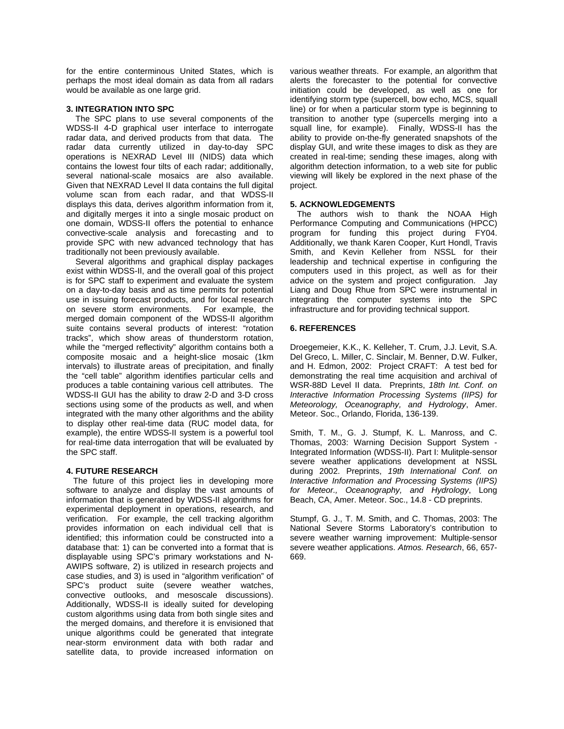for the entire conterminous United States, which is perhaps the most ideal domain as data from all radars would be available as one large grid.

### **3. INTEGRATION INTO SPC**

 The SPC plans to use several components of the WDSS-II 4-D graphical user interface to interrogate radar data, and derived products from that data. The radar data currently utilized in day-to-day SPC operations is NEXRAD Level III (NIDS) data which contains the lowest four tilts of each radar; additionally, several national-scale mosaics are also available. Given that NEXRAD Level II data contains the full digital volume scan from each radar, and that WDSS-II displays this data, derives algorithm information from it. and digitally merges it into a single mosaic product on one domain, WDSS-II offers the potential to enhance convective-scale analysis and forecasting and to provide SPC with new advanced technology that has traditionally not been previously available.

 Several algorithms and graphical display packages exist within WDSS-II, and the overall goal of this project is for SPC staff to experiment and evaluate the system on a day-to-day basis and as time permits for potential use in issuing forecast products, and for local research on severe storm environments. For example, the merged domain component of the WDSS-II algorithm suite contains several products of interest: "rotation tracks", which show areas of thunderstorm rotation, while the "merged reflectivity" algorithm contains both a composite mosaic and a height-slice mosaic (1km intervals) to illustrate areas of precipitation, and finally the "cell table" algorithm identifies particular cells and produces a table containing various cell attributes. The WDSS-II GUI has the ability to draw 2-D and 3-D cross sections using some of the products as well, and when integrated with the many other algorithms and the ability to display other real-time data (RUC model data, for example), the entire WDSS-II system is a powerful tool for real-time data interrogation that will be evaluated by the SPC staff.

# **4. FUTURE RESEARCH**

 The future of this project lies in developing more software to analyze and display the vast amounts of information that is generated by WDSS-II algorithms for experimental deployment in operations, research, and verification. For example, the cell tracking algorithm provides information on each individual cell that is identified; this information could be constructed into a database that: 1) can be converted into a format that is displayable using SPC's primary workstations and N-AWIPS software, 2) is utilized in research projects and case studies, and 3) is used in "algorithm verification" of SPC's product suite (severe weather watches, convective outlooks, and mesoscale discussions). Additionally, WDSS-II is ideally suited for developing custom algorithms using data from both single sites and the merged domains, and therefore it is envisioned that unique algorithms could be generated that integrate near-storm environment data with both radar and satellite data, to provide increased information on

various weather threats. For example, an algorithm that alerts the forecaster to the potential for convective initiation could be developed, as well as one for identifying storm type (supercell, bow echo, MCS, squall line) or for when a particular storm type is beginning to transition to another type (supercells merging into a squall line, for example). Finally, WDSS-II has the ability to provide on-the-fly generated snapshots of the display GUI, and write these images to disk as they are created in real-time; sending these images, along with algorithm detection information, to a web site for public viewing will likely be explored in the next phase of the project.

# **5. ACKNOWLEDGEMENTS**

 The authors wish to thank the NOAA High Performance Computing and Communications (HPCC) program for funding this project during FY04. Additionally, we thank Karen Cooper, Kurt Hondl, Travis Smith, and Kevin Kelleher from NSSL for their leadership and technical expertise in configuring the computers used in this project, as well as for their advice on the system and project configuration. Jay Liang and Doug Rhue from SPC were instrumental in integrating the computer systems into the SPC infrastructure and for providing technical support.

## **6. REFERENCES**

Droegemeier, K.K., K. Kelleher, T. Crum, J.J. Levit, S.A. Del Greco, L. Miller, C. Sinclair, M. Benner, D.W. Fulker, and H. Edmon, 2002: Project CRAFT: A test bed for demonstrating the real time acquisition and archival of WSR-88D Level II data. Preprints, *18th Int. Conf. on Interactive Information Processing Systems (IIPS) for Meteorology, Oceanography, and Hydrology*, Amer. Meteor. Soc., Orlando, Florida, 136-139.

Smith, T. M., G. J. Stumpf, K. L. Manross, and C. Thomas, 2003: Warning Decision Support System - Integrated Information (WDSS-II). Part I: Mulitple-sensor severe weather applications development at NSSL during 2002. Preprints, *19th International Conf. on Interactive Information and Processing Systems (IIPS) for Meteor., Oceanography, and Hydrology*, Long Beach, CA, Amer. Meteor. Soc., 14.8 - CD preprints.

Stumpf, G. J., T. M. Smith, and C. Thomas, 2003: The National Severe Storms Laboratory's contribution to severe weather warning improvement: Multiple-sensor severe weather applications. *Atmos. Research*, 66, 657- 669.